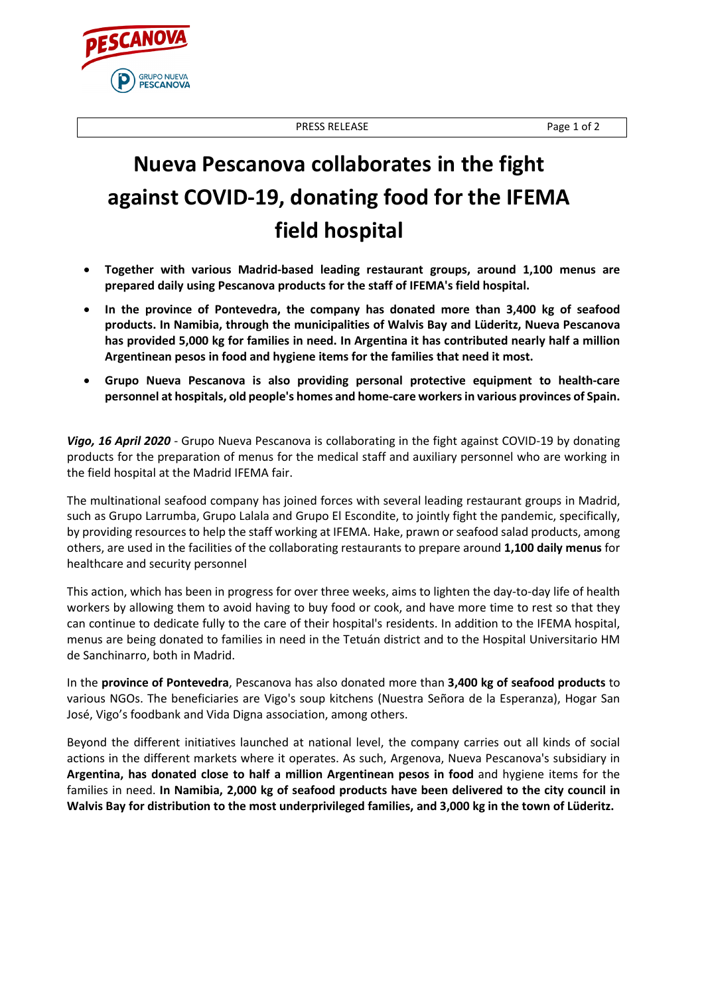PRESS RELEASE Page 1 of 2

**Nueva Pescanova collaborates in the fight against COVID-19, donating food for the IFEMA field hospital**

- **Together with various Madrid-based leading restaurant groups, around 1,100 menus are prepared daily using Pescanova products for the staff of IFEMA's field hospital.**
- **In the province of Pontevedra, the company has donated more than 3,400 kg of seafood products. In Namibia, through the municipalities of Walvis Bay and Lüderitz, Nueva Pescanova has provided 5,000 kg for families in need. In Argentina it has contributed nearly half a million Argentinean pesos in food and hygiene items for the families that need it most.**
- **Grupo Nueva Pescanova is also providing personal protective equipment to health-care personnel at hospitals, old people's homes and home-care workers in various provinces of Spain.**

*Vigo, 16 April 2020* - Grupo Nueva Pescanova is collaborating in the fight against COVID-19 by donating products for the preparation of menus for the medical staff and auxiliary personnel who are working in the field hospital at the Madrid IFEMA fair.

The multinational seafood company has joined forces with several leading restaurant groups in Madrid, such as Grupo Larrumba, Grupo Lalala and Grupo El Escondite, to jointly fight the pandemic, specifically, by providing resources to help the staff working at IFEMA. Hake, prawn or seafood salad products, among others, are used in the facilities of the collaborating restaurants to prepare around **1,100 daily menus** for healthcare and security personnel

This action, which has been in progress for over three weeks, aims to lighten the day-to-day life of health workers by allowing them to avoid having to buy food or cook, and have more time to rest so that they can continue to dedicate fully to the care of their hospital's residents. In addition to the IFEMA hospital, menus are being donated to families in need in the Tetuán district and to the Hospital Universitario HM de Sanchinarro, both in Madrid.

In the **province of Pontevedra**, Pescanova has also donated more than **3,400 kg of seafood products** to various NGOs. The beneficiaries are Vigo's soup kitchens (Nuestra Señora de la Esperanza), Hogar San José, Vigo's foodbank and Vida Digna association, among others.

Beyond the different initiatives launched at national level, the company carries out all kinds of social actions in the different markets where it operates. As such, Argenova, Nueva Pescanova's subsidiary in **Argentina, has donated close to half a million Argentinean pesos in food** and hygiene items for the families in need. **In Namibia, 2,000 kg of seafood products have been delivered to the city council in Walvis Bay for distribution to the most underprivileged families, and 3,000 kg in the town of Lüderitz.**